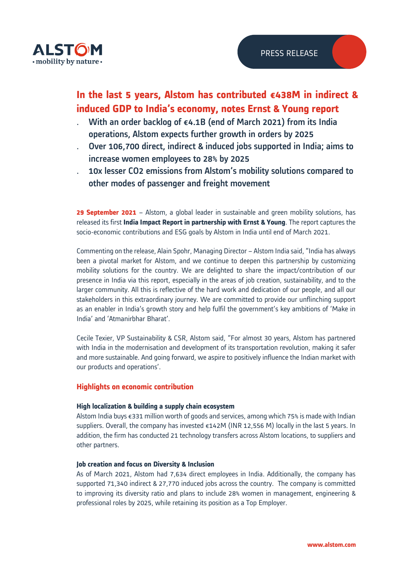

# **In the last 5 years, Alstom has contributed €438M in indirect & induced GDP to India's economy, notes Ernst & Young report**

- With an order backlog of  $\epsilon$ 4.1B (end of March 2021) from its India operations, Alstom expects further growth in orders by 2025
- ․ Over 106,700 direct, indirect & induced jobs supported in India; aims to increase women employees to 28% by 2025
- 10x lesser CO2 emissions from Alstom's mobility solutions compared to other modes of passenger and freight movement

**29 September 2021** – Alstom, a global leader in sustainable and green mobility solutions, has released its first **India Impact Report in partnership with Ernst & Young**. The report captures the socio-economic contributions and ESG goals by Alstom in India until end of March 2021.

Commenting on the release, Alain Spohr, Managing Director – Alstom India said, "India has always been a pivotal market for Alstom, and we continue to deepen this partnership by customizing mobility solutions for the country. We are delighted to share the impact/contribution of our presence in India via this report, especially in the areas of job creation, sustainability, and to the larger community. All this is reflective of the hard work and dedication of our people, and all our stakeholders in this extraordinary journey. We are committed to provide our unflinching support as an enabler in India's growth story and help fulfil the government's key ambitions of 'Make in India' and 'Atmanirbhar Bharat'.

Cecile Texier, VP Sustainability & CSR, Alstom said, "For almost 30 years, Alstom has partnered with India in the modernisation and development of its transportation revolution, making it safer and more sustainable. And going forward, we aspire to positively influence the Indian market with our products and operations'.

# **Highlights on economic contribution**

## **High localization & building a supply chain ecosystem**

Alstom India buys €331 million worth of goods and services, among which 75% is made with Indian suppliers. Overall, the company has invested  $\epsilon$ 142M (INR 12,556 M) locally in the last 5 years. In addition, the firm has conducted 21 technology transfers across Alstom locations, to suppliers and other partners.

## **Job creation and focus on Diversity & Inclusion**

As of March 2021, Alstom had 7,634 direct employees in India. Additionally, the company has supported 71,340 indirect & 27,770 induced jobs across the country. The company is committed to improving its diversity ratio and plans to include 28% women in management, engineering & professional roles by 2025, while retaining its position as a Top Employer.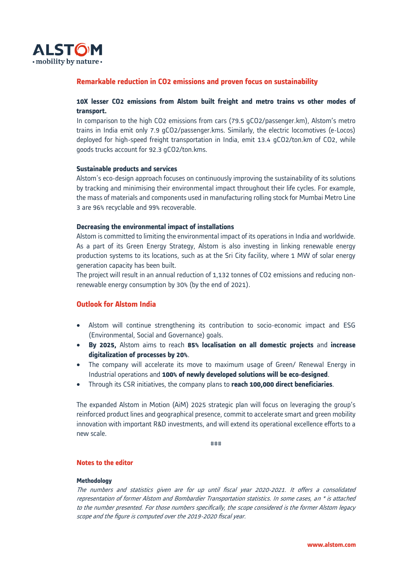

## **Remarkable reduction in CO2 emissions and proven focus on sustainability**

## **10X lesser CO2 emissions from Alstom built freight and metro trains vs other modes of transport.**

In comparison to the high CO2 emissions from cars (79.5 gCO2/passenger.km), Alstom's metro trains in India emit only 7.9 gCO2/passenger.kms. Similarly, the electric locomotives (e-Locos) deployed for high-speed freight transportation in India, emit 13.4 gCO2/ton.km of CO2, while goods trucks account for 92.3 gCO2/ton.kms.

#### **Sustainable products and services**

Alstom's eco-design approach focuses on continuously improving the sustainability of its solutions by tracking and minimising their environmental impact throughout their life cycles. For example, the mass of materials and components used in manufacturing rolling stock for Mumbai Metro Line 3 are 96% recyclable and 99% recoverable.

#### **Decreasing the environmental impact of installations**

Alstom is committed to limiting the environmental impact of its operations in India and worldwide. As a part of its Green Energy Strategy, Alstom is also investing in linking renewable energy production systems to its locations, such as at the Sri City facility, where 1 MW of solar energy generation capacity has been built.

The project will result in an annual reduction of 1,132 tonnes of CO2 emissions and reducing nonrenewable energy consumption by 30% (by the end of 2021).

## **Outlook for Alstom India**

- Alstom will continue strengthening its contribution to socio-economic impact and ESG (Environmental, Social and Governance) goals.
- **By 2025,** Alstom aims to reach **85% localisation on all domestic projects** and **increase digitalization of processes by 20%**.
- The company will accelerate its move to maximum usage of Green/ Renewal Energy in Industrial operations and **100% of newly developed solutions will be eco-designed**.
- Through its CSR initiatives, the company plans to **reach 100,000 direct beneficiaries**.

The expanded Alstom in Motion (AiM) 2025 strategic plan will focus on leveraging the group's reinforced product lines and geographical presence, commit to accelerate smart and green mobility innovation with important R&D investments, and will extend its operational excellence efforts to a new scale.

###

#### **Notes to the editor**

#### **Methodology**

The numbers and statistics given are for up until fiscal year 2020-2021. It offers a consolidated representation of former Alstom and Bombardier Transportation statistics. In some cases, an \* is attached to the number presented. For those numbers specifically, the scope considered is the former Alstom legacy scope and the figure is computed over the 2019-2020 fiscal year.